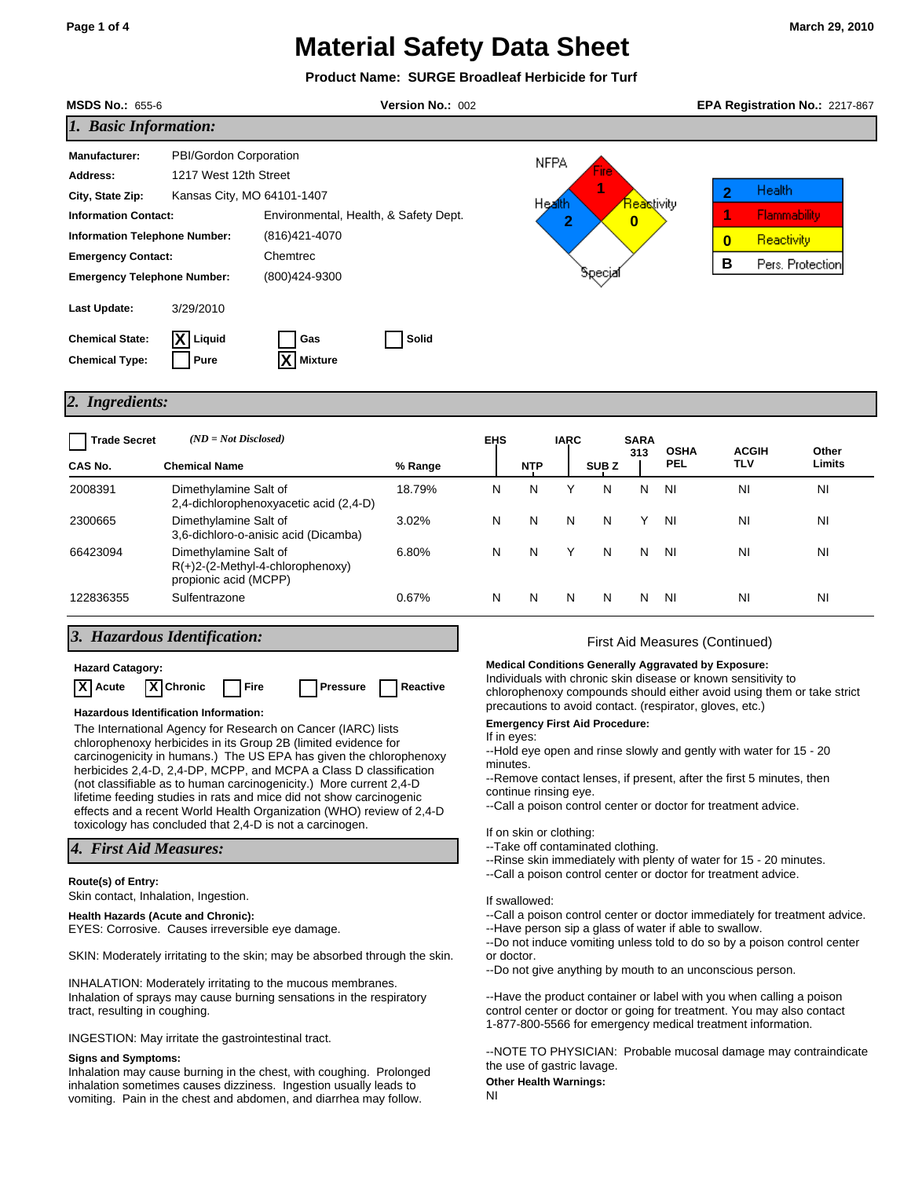|                                                                                                                                                                                                                                                                                                                                                                                                                                                                                                                         |                                                                                                                                                                      | <b>Product Name: SURGE Broadleaf Herbicide for Turf</b> |                                                                                                                                                                                                                                                                                                                                                                                                                                                                                                                                                |                                                                                                                                                                                                                                                                        |                     |                  |                                              |                    |                                                                                                                                      |                  |
|-------------------------------------------------------------------------------------------------------------------------------------------------------------------------------------------------------------------------------------------------------------------------------------------------------------------------------------------------------------------------------------------------------------------------------------------------------------------------------------------------------------------------|----------------------------------------------------------------------------------------------------------------------------------------------------------------------|---------------------------------------------------------|------------------------------------------------------------------------------------------------------------------------------------------------------------------------------------------------------------------------------------------------------------------------------------------------------------------------------------------------------------------------------------------------------------------------------------------------------------------------------------------------------------------------------------------------|------------------------------------------------------------------------------------------------------------------------------------------------------------------------------------------------------------------------------------------------------------------------|---------------------|------------------|----------------------------------------------|--------------------|--------------------------------------------------------------------------------------------------------------------------------------|------------------|
| <b>MSDS No.: 655-6</b>                                                                                                                                                                                                                                                                                                                                                                                                                                                                                                  |                                                                                                                                                                      | Version No.: 002                                        |                                                                                                                                                                                                                                                                                                                                                                                                                                                                                                                                                |                                                                                                                                                                                                                                                                        |                     |                  |                                              |                    | EPA Registration No.: 2217-867                                                                                                       |                  |
| 1. Basic Information:                                                                                                                                                                                                                                                                                                                                                                                                                                                                                                   |                                                                                                                                                                      |                                                         |                                                                                                                                                                                                                                                                                                                                                                                                                                                                                                                                                |                                                                                                                                                                                                                                                                        |                     |                  |                                              |                    |                                                                                                                                      |                  |
| <b>Manufacturer:</b><br>Address:<br>City, State Zip:<br><b>Information Contact:</b><br><b>Information Telephone Number:</b><br><b>Emergency Contact:</b><br><b>Emergency Telephone Number:</b>                                                                                                                                                                                                                                                                                                                          | PBI/Gordon Corporation<br>1217 West 12th Street<br>Kansas City, MO 64101-1407<br>Environmental, Health, & Safety Dept.<br>(816)421-4070<br>Chemtrec<br>(800)424-9300 |                                                         |                                                                                                                                                                                                                                                                                                                                                                                                                                                                                                                                                |                                                                                                                                                                                                                                                                        | NFPA<br>Health<br>2 | бресја           | <mark>Reas</mark> tivity<br>$\boldsymbol{0}$ |                    | Health<br>2<br>1<br>Flammability<br>Reactivity<br>$\bf{0}$<br>В                                                                      | Pers. Protection |
| Last Update:<br><b>Chemical State:</b><br><b>Chemical Type:</b>                                                                                                                                                                                                                                                                                                                                                                                                                                                         | 3/29/2010<br>$X$ Liquid<br>Gas<br><b>Mixture</b><br>Pure                                                                                                             | Solid                                                   |                                                                                                                                                                                                                                                                                                                                                                                                                                                                                                                                                |                                                                                                                                                                                                                                                                        |                     |                  |                                              |                    |                                                                                                                                      |                  |
| 2. Ingredients:                                                                                                                                                                                                                                                                                                                                                                                                                                                                                                         |                                                                                                                                                                      |                                                         |                                                                                                                                                                                                                                                                                                                                                                                                                                                                                                                                                |                                                                                                                                                                                                                                                                        |                     |                  |                                              |                    |                                                                                                                                      |                  |
| <b>Trade Secret</b><br>CAS No.                                                                                                                                                                                                                                                                                                                                                                                                                                                                                          | $(ND = Not Disclosed)$<br><b>Chemical Name</b>                                                                                                                       | % Range                                                 | <b>EHS</b>                                                                                                                                                                                                                                                                                                                                                                                                                                                                                                                                     | <b>NTP</b>                                                                                                                                                                                                                                                             | <b>IARC</b>         | SUB <sub>Z</sub> | <b>SARA</b><br>313                           | <b>OSHA</b><br>PEL | <b>ACGIH</b><br>TLV                                                                                                                  | Other<br>Limits  |
| 2008391                                                                                                                                                                                                                                                                                                                                                                                                                                                                                                                 | Dimethylamine Salt of                                                                                                                                                | 18.79%                                                  | N                                                                                                                                                                                                                                                                                                                                                                                                                                                                                                                                              | N                                                                                                                                                                                                                                                                      | Y                   | N                | N                                            | NI                 | NI                                                                                                                                   | ΝI               |
| 2300665                                                                                                                                                                                                                                                                                                                                                                                                                                                                                                                 | 2,4-dichlorophenoxyacetic acid (2,4-D)<br>Dimethylamine Salt of<br>3,6-dichloro-o-anisic acid (Dicamba)                                                              | 3.02%                                                   | N                                                                                                                                                                                                                                                                                                                                                                                                                                                                                                                                              | N                                                                                                                                                                                                                                                                      | N                   | N                | Y                                            | ΝI                 | NI                                                                                                                                   | ΝI               |
| 66423094                                                                                                                                                                                                                                                                                                                                                                                                                                                                                                                | Dimethylamine Salt of<br>$R(+)2-(2-Methyl-4-chlorophenoxy)$<br>propionic acid (MCPP)                                                                                 | 6.80%                                                   | N                                                                                                                                                                                                                                                                                                                                                                                                                                                                                                                                              | N                                                                                                                                                                                                                                                                      | Υ                   | N                | Ν                                            | ΝI                 | NI                                                                                                                                   | ΝI               |
| 122836355                                                                                                                                                                                                                                                                                                                                                                                                                                                                                                               | Sulfentrazone                                                                                                                                                        | 0.67%                                                   | N                                                                                                                                                                                                                                                                                                                                                                                                                                                                                                                                              | N                                                                                                                                                                                                                                                                      | N                   | N                | N                                            | ΝI                 | NI                                                                                                                                   | ΝI               |
| 3. Hazardous Identification:<br><b>Hazard Catagory:</b><br>X Chronic<br> X <br>Reactive<br>Acute<br>Fire<br><b>Pressure</b><br>Hazardous Identification Information:<br>The International Agency for Research on Cancer (IARC) lists<br>chlorophenoxy herbicides in its Group 2B (limited evidence for<br>carcinogenicity in humans.) The US EPA has given the chlorophenoxy<br>herbicides 2,4-D, 2,4-DP, MCPP, and MCPA a Class D classification<br>(not classifiable as to human carcinogenicity.) More current 2,4-D |                                                                                                                                                                      |                                                         | First Aid Measures (Continued)<br><b>Medical Conditions Generally Aggravated by Exposure:</b><br>Individuals with chronic skin disease or known sensitivity to<br>chlorophenoxy compounds should either avoid using them or take strict<br>precautions to avoid contact. (respirator, gloves, etc.)<br><b>Emergency First Aid Procedure:</b><br>If in eyes:<br>--Hold eye open and rinse slowly and gently with water for 15 - 20<br>minutes.<br>--Remove contact lenses, if present, after the first 5 minutes, then<br>continue rinsing eye. |                                                                                                                                                                                                                                                                        |                     |                  |                                              |                    |                                                                                                                                      |                  |
| lifetime feeding studies in rats and mice did not show carcinogenic<br>effects and a recent World Health Organization (WHO) review of 2,4-D<br>toxicology has concluded that 2,4-D is not a carcinogen.<br>4. First Aid Measures:                                                                                                                                                                                                                                                                                       |                                                                                                                                                                      |                                                         |                                                                                                                                                                                                                                                                                                                                                                                                                                                                                                                                                | --Call a poison control center or doctor for treatment advice.<br>If on skin or clothing:<br>--Take off contaminated clothing.<br>--Rinse skin immediately with plenty of water for 15 - 20 minutes.<br>--Call a poison control center or doctor for treatment advice. |                     |                  |                                              |                    |                                                                                                                                      |                  |
| Route(s) of Entry:                                                                                                                                                                                                                                                                                                                                                                                                                                                                                                      | Skin contact, Inhalation, Ingestion.<br><b>Health Hazards (Acute and Chronic):</b><br>EYES: Corrosive. Causes irreversible eye damage.                               |                                                         |                                                                                                                                                                                                                                                                                                                                                                                                                                                                                                                                                | If swallowed:                                                                                                                                                                                                                                                          |                     |                  |                                              |                    | --Call a poison control center or doctor immediately for treatment advice.<br>--Have person sip a glass of water if able to swallow. |                  |

SKIN: Moderately irritating to the skin; may be absorbed through the skin.

INHALATION: Moderately irritating to the mucous membranes. Inhalation of sprays may cause burning sensations in the respiratory tract, resulting in coughing.

INGESTION: May irritate the gastrointestinal tract.

### **Signs and Symptoms:**

Inhalation may cause burning in the chest, with coughing. Prolonged inhalation sometimes causes dizziness. Ingestion usually leads to vomiting. Pain in the chest and abdomen, and diarrhea may follow.

--Do not induce vomiting unless told to do so by a poison control center or doctor.

--Do not give anything by mouth to an unconscious person.

--Have the product container or label with you when calling a poison control center or doctor or going for treatment. You may also contact 1-877-800-5566 for emergency medical treatment information.

--NOTE TO PHYSICIAN: Probable mucosal damage may contraindicate the use of gastric lavage.

## **Other Health Warnings:**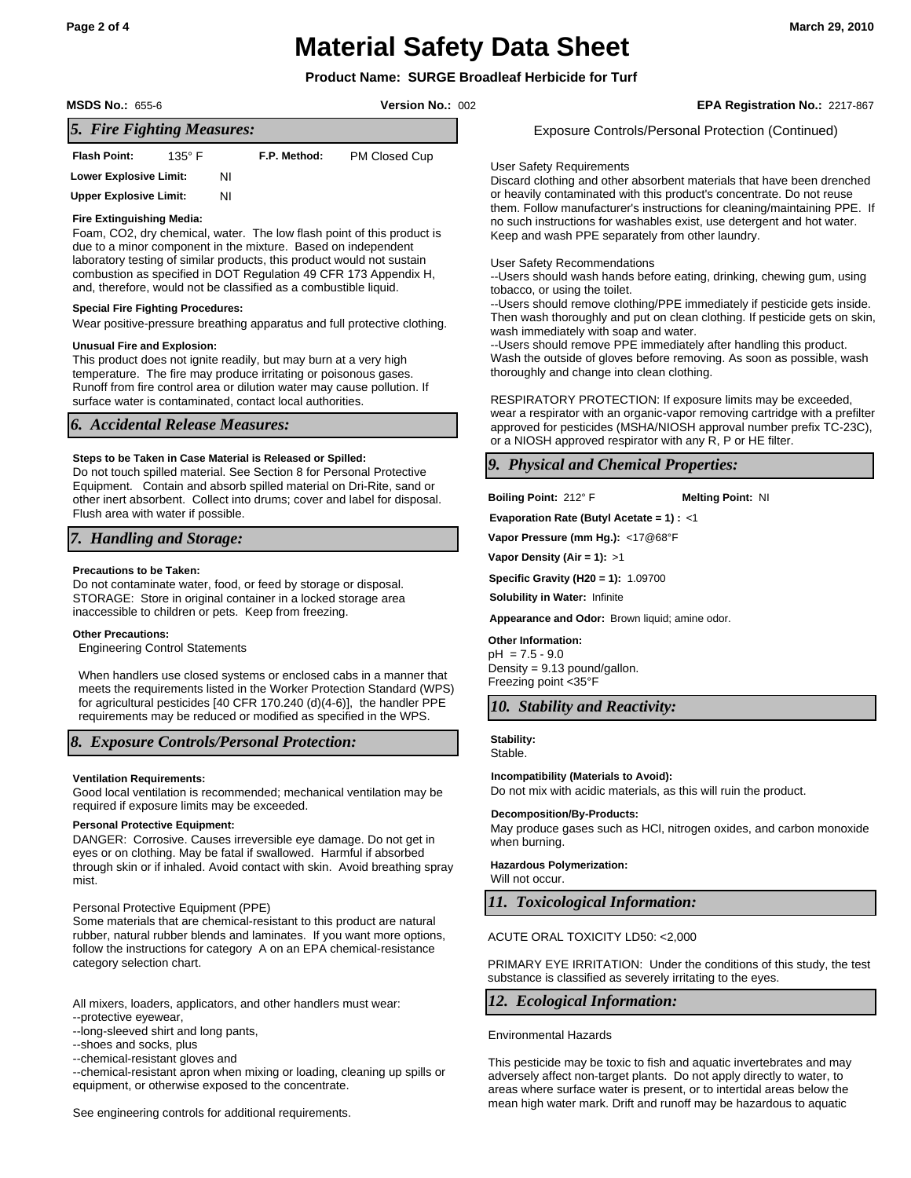## **Product Name: SURGE Broadleaf Herbicide for Turf**

**MSDS No.:** 655-6 **Version No.:** 002 **EPA Registration No.:** 2217-867

Exposure Controls/Personal Protection (Continued)

## *5. Fire Fighting Measures:*

| <b>Flash Point:</b>           | $135^\circ$ F |    | F.P. Method: | PM Closed Cup |  |  |  |  |  |  |
|-------------------------------|---------------|----|--------------|---------------|--|--|--|--|--|--|
| <b>Lower Explosive Limit:</b> |               | ΝI |              |               |  |  |  |  |  |  |
| <b>Upper Explosive Limit:</b> |               | ΝI |              |               |  |  |  |  |  |  |

## **Fire Extinguishing Media:**

Foam, CO2, dry chemical, water. The low flash point of this product is due to a minor component in the mixture. Based on independent laboratory testing of similar products, this product would not sustain combustion as specified in DOT Regulation 49 CFR 173 Appendix H, and, therefore, would not be classified as a combustible liquid.

### **Special Fire Fighting Procedures:**

Wear positive-pressure breathing apparatus and full protective clothing.

### **Unusual Fire and Explosion:**

This product does not ignite readily, but may burn at a very high temperature. The fire may produce irritating or poisonous gases. Runoff from fire control area or dilution water may cause pollution. If surface water is contaminated, contact local authorities.

## *6. Accidental Release Measures:*

## **Steps to be Taken in Case Material is Released or Spilled:**

Do not touch spilled material. See Section 8 for Personal Protective Equipment. Contain and absorb spilled material on Dri-Rite, sand or other inert absorbent. Collect into drums; cover and label for disposal. Flush area with water if possible.

## *7. Handling and Storage:*

### **Precautions to be Taken:**

Do not contaminate water, food, or feed by storage or disposal. STORAGE: Store in original container in a locked storage area inaccessible to children or pets. Keep from freezing.

### **Other Precautions:**

Engineering Control Statements

When handlers use closed systems or enclosed cabs in a manner that meets the requirements listed in the Worker Protection Standard (WPS) for agricultural pesticides [40 CFR 170.240 (d)(4-6)], the handler PPE requirements may be reduced or modified as specified in the WPS.

## *8. Exposure Controls/Personal Protection:*

## **Ventilation Requirements:**

Good local ventilation is recommended; mechanical ventilation may be required if exposure limits may be exceeded.

## **Personal Protective Equipment:**

DANGER: Corrosive. Causes irreversible eye damage. Do not get in eyes or on clothing. May be fatal if swallowed. Harmful if absorbed through skin or if inhaled. Avoid contact with skin. Avoid breathing spray mist.

### Personal Protective Equipment (PPE)

Some materials that are chemical-resistant to this product are natural rubber, natural rubber blends and laminates. If you want more options, follow the instructions for category A on an EPA chemical-resistance category selection chart.

All mixers, loaders, applicators, and other handlers must wear:

- --protective eyewear,
- --long-sleeved shirt and long pants,
- --shoes and socks, plus

--chemical-resistant gloves and

--chemical-resistant apron when mixing or loading, cleaning up spills or equipment, or otherwise exposed to the concentrate.

See engineering controls for additional requirements.

#### User Safety Requirements

Discard clothing and other absorbent materials that have been drenched or heavily contaminated with this product's concentrate. Do not reuse them. Follow manufacturer's instructions for cleaning/maintaining PPE. If no such instructions for washables exist, use detergent and hot water. Keep and wash PPE separately from other laundry.

## User Safety Recommendations

--Users should wash hands before eating, drinking, chewing gum, using tobacco, or using the toilet.

--Users should remove clothing/PPE immediately if pesticide gets inside. Then wash thoroughly and put on clean clothing. If pesticide gets on skin, wash immediately with soap and water.

--Users should remove PPE immediately after handling this product. Wash the outside of gloves before removing. As soon as possible, wash thoroughly and change into clean clothing.

RESPIRATORY PROTECTION: If exposure limits may be exceeded, wear a respirator with an organic-vapor removing cartridge with a prefilter approved for pesticides (MSHA/NIOSH approval number prefix TC-23C), or a NIOSH approved respirator with any R, P or HE filter.

## *9. Physical and Chemical Properties:*

**Boiling Point:** 212° F **Melting Point:** NI

**Evaporation Rate (Butyl Acetate = 1) :** <1

**Vapor Pressure (mm Hg.):** <17@68°F

**Vapor Density (Air = 1):** >1

**Specific Gravity (H20 = 1):** 1.09700

**Solubility in Water:** Infinite

**Appearance and Odor:** Brown liquid; amine odor.

### **Other Information:**

pH = 7.5 - 9.0 Density = 9.13 pound/gallon. Freezing point <35°F

## *10. Stability and Reactivity:*

**Stability:**

Stable.

### **Incompatibility (Materials to Avoid):**

Do not mix with acidic materials, as this will ruin the product.

### **Decomposition/By-Products:**

May produce gases such as HCl, nitrogen oxides, and carbon monoxide when burning.

**Hazardous Polymerization:** Will not occur.

## *11. Toxicological Information:*

## ACUTE ORAL TOXICITY LD50: <2,000

PRIMARY EYE IRRITATION: Under the conditions of this study, the test substance is classified as severely irritating to the eyes.

## *12. Ecological Information:*

### Environmental Hazards

This pesticide may be toxic to fish and aquatic invertebrates and may adversely affect non-target plants. Do not apply directly to water, to areas where surface water is present, or to intertidal areas below the mean high water mark. Drift and runoff may be hazardous to aquatic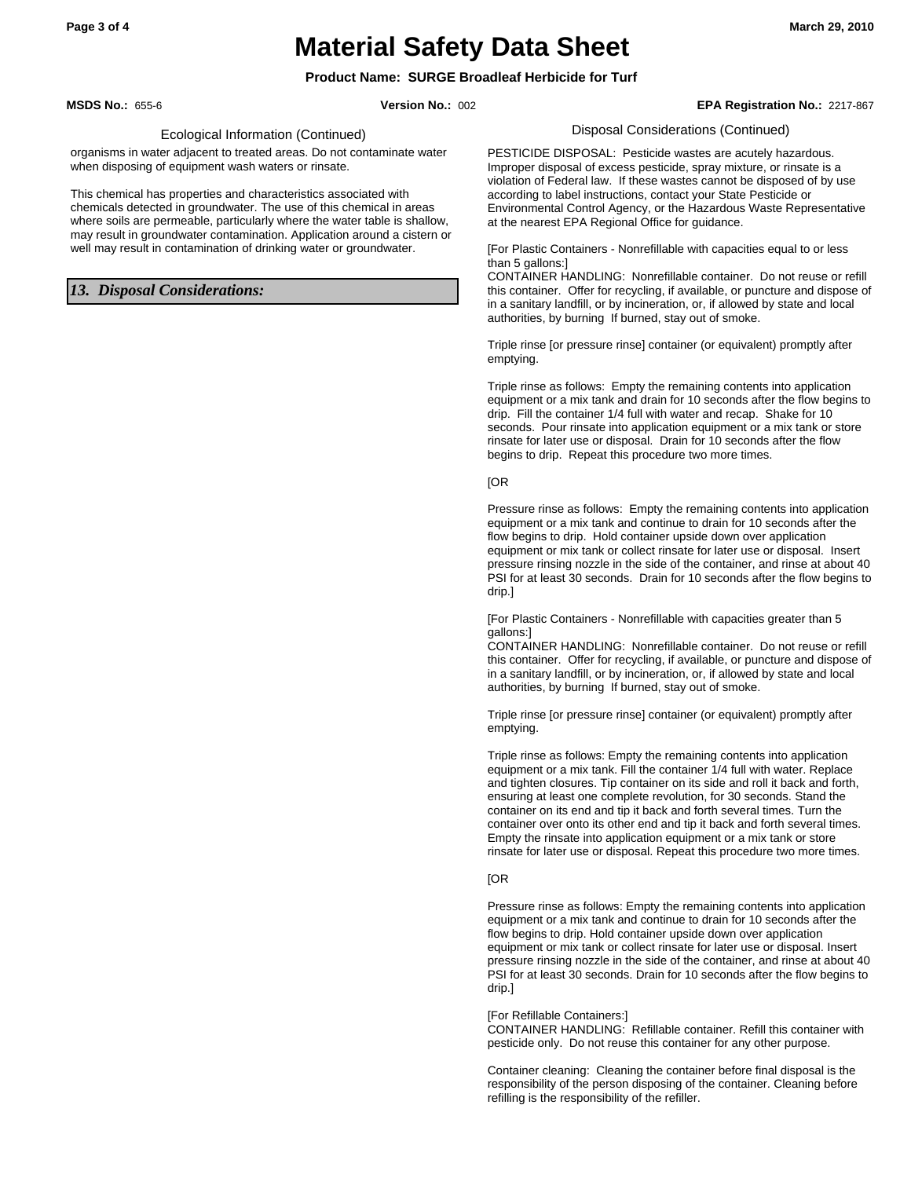## **Product Name: SURGE Broadleaf Herbicide for Turf**

**MSDS No.:** 655-6 **Version No.:** 002 **EPA Registration No.:** 2217-867

### Ecological Information (Continued)

organisms in water adjacent to treated areas. Do not contaminate water when disposing of equipment wash waters or rinsate.

This chemical has properties and characteristics associated with chemicals detected in groundwater. The use of this chemical in areas where soils are permeable, particularly where the water table is shallow, may result in groundwater contamination. Application around a cistern or well may result in contamination of drinking water or groundwater.

## *13. Disposal Considerations:*

Disposal Considerations (Continued)

PESTICIDE DISPOSAL: Pesticide wastes are acutely hazardous. Improper disposal of excess pesticide, spray mixture, or rinsate is a violation of Federal law. If these wastes cannot be disposed of by use according to label instructions, contact your State Pesticide or Environmental Control Agency, or the Hazardous Waste Representative at the nearest EPA Regional Office for guidance.

[For Plastic Containers - Nonrefillable with capacities equal to or less than 5 gallons:]

CONTAINER HANDLING: Nonrefillable container. Do not reuse or refill this container. Offer for recycling, if available, or puncture and dispose of in a sanitary landfill, or by incineration, or, if allowed by state and local authorities, by burning If burned, stay out of smoke.

Triple rinse [or pressure rinse] container (or equivalent) promptly after emptying.

Triple rinse as follows: Empty the remaining contents into application equipment or a mix tank and drain for 10 seconds after the flow begins to drip. Fill the container 1/4 full with water and recap. Shake for 10 seconds. Pour rinsate into application equipment or a mix tank or store rinsate for later use or disposal. Drain for 10 seconds after the flow begins to drip. Repeat this procedure two more times.

## [OR

Pressure rinse as follows: Empty the remaining contents into application equipment or a mix tank and continue to drain for 10 seconds after the flow begins to drip. Hold container upside down over application equipment or mix tank or collect rinsate for later use or disposal. Insert pressure rinsing nozzle in the side of the container, and rinse at about 40 PSI for at least 30 seconds. Drain for 10 seconds after the flow begins to drip.]

[For Plastic Containers - Nonrefillable with capacities greater than 5 gallons:]

CONTAINER HANDLING: Nonrefillable container. Do not reuse or refill this container. Offer for recycling, if available, or puncture and dispose of in a sanitary landfill, or by incineration, or, if allowed by state and local authorities, by burning If burned, stay out of smoke.

Triple rinse [or pressure rinse] container (or equivalent) promptly after emptying.

Triple rinse as follows: Empty the remaining contents into application equipment or a mix tank. Fill the container 1/4 full with water. Replace and tighten closures. Tip container on its side and roll it back and forth, ensuring at least one complete revolution, for 30 seconds. Stand the container on its end and tip it back and forth several times. Turn the container over onto its other end and tip it back and forth several times. Empty the rinsate into application equipment or a mix tank or store rinsate for later use or disposal. Repeat this procedure two more times.

## [OR

Pressure rinse as follows: Empty the remaining contents into application equipment or a mix tank and continue to drain for 10 seconds after the flow begins to drip. Hold container upside down over application equipment or mix tank or collect rinsate for later use or disposal. Insert pressure rinsing nozzle in the side of the container, and rinse at about 40 PSI for at least 30 seconds. Drain for 10 seconds after the flow begins to drip.]

### [For Refillable Containers:]

CONTAINER HANDLING: Refillable container. Refill this container with pesticide only. Do not reuse this container for any other purpose.

Container cleaning: Cleaning the container before final disposal is the responsibility of the person disposing of the container. Cleaning before refilling is the responsibility of the refiller.